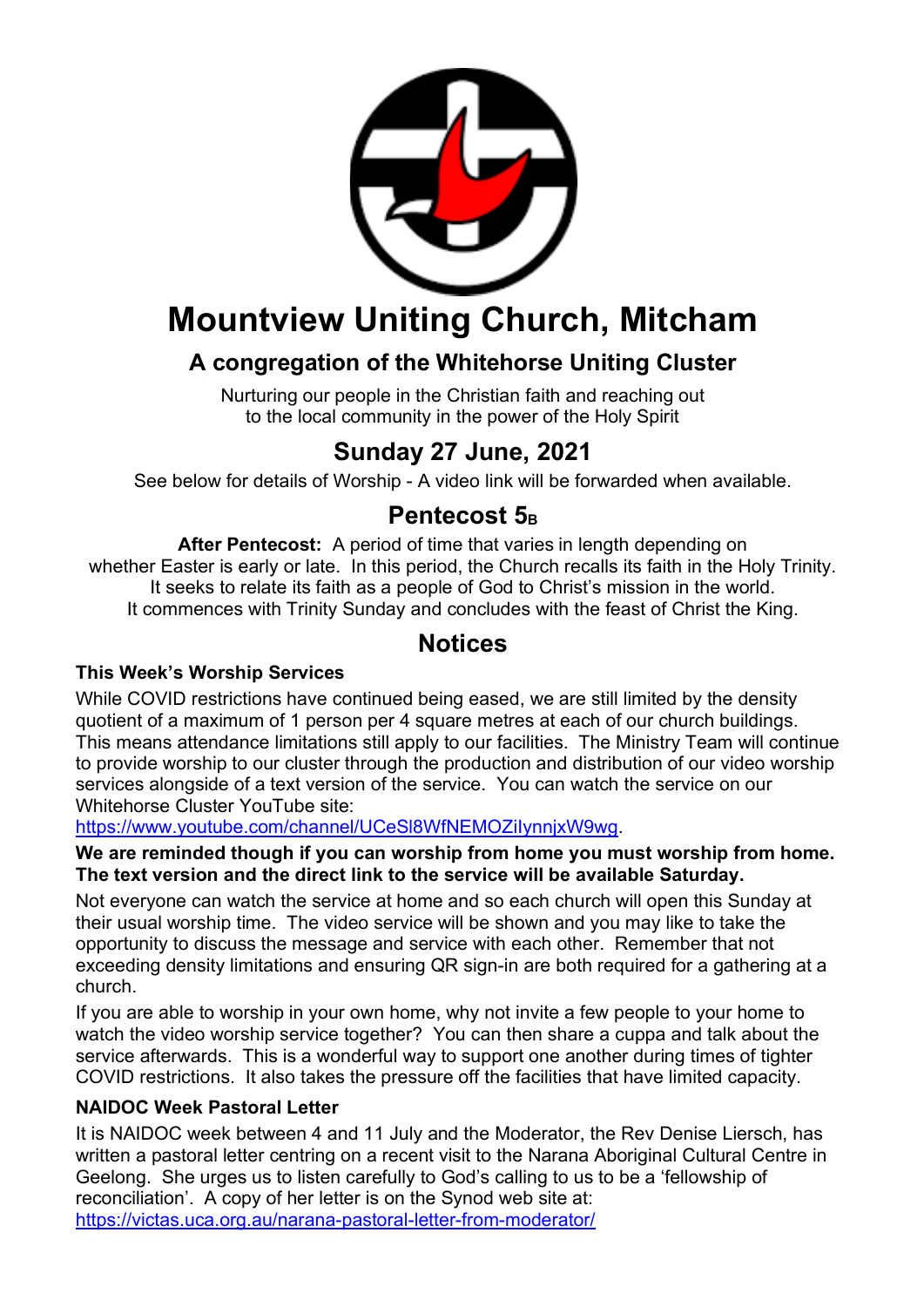

## **Mountview Uniting Church, Mitcham**

## **A congregation of the Whitehorse Uniting Cluster**

Nurturing our people in the Christian faith and reaching out to the local community in the power of the Holy Spirit

## **Sunday 27 June, 2021**

See below for details of Worship - A video link will be forwarded when available.

## **Pentecost 5**<sub>B</sub>

**After Pentecost:** A period of time that varies in length depending on whether Easter is early or late. In this period, the Church recalls its faith in the Holy Trinity. It seeks to relate its faith as a people of God to Christ's mission in the world. It commences with Trinity Sunday and concludes with the feast of Christ the King.

### **Notices**

### **This Week's Worship Services**

While COVID restrictions have continued being eased, we are still limited by the density quotient of a maximum of 1 person per 4 square metres at each of our church buildings. This means attendance limitations still apply to our facilities. The Ministry Team will continue to provide worship to our cluster through the production and distribution of our video worship services alongside of a text version of the service. You can watch the service on our Whitehorse Cluster YouTube site:

https://www.youtube.com/channel/UCeSl8WfNEMOZiIynnjxW9wg.

**We are reminded though if you can worship from home you must worship from home. The text version and the direct link to the service will be available Saturday.**

Not everyone can watch the service at home and so each church will open this Sunday at their usual worship time. The video service will be shown and you may like to take the opportunity to discuss the message and service with each other. Remember that not exceeding density limitations and ensuring QR sign-in are both required for a gathering at a church.

If you are able to worship in your own home, why not invite a few people to your home to watch the video worship service together? You can then share a cuppa and talk about the service afterwards. This is a wonderful way to support one another during times of tighter COVID restrictions. It also takes the pressure off the facilities that have limited capacity.

#### **NAIDOC Week Pastoral Letter**

It is NAIDOC week between 4 and 11 July and the Moderator, the Rev Denise Liersch, has written a pastoral letter centring on a recent visit to the Narana Aboriginal Cultural Centre in Geelong. She urges us to listen carefully to God's calling to us to be a 'fellowship of reconciliation'. A copy of her letter is on the Synod web site at: https://victas.uca.org.au/narana-pastoral-letter-from-moderator/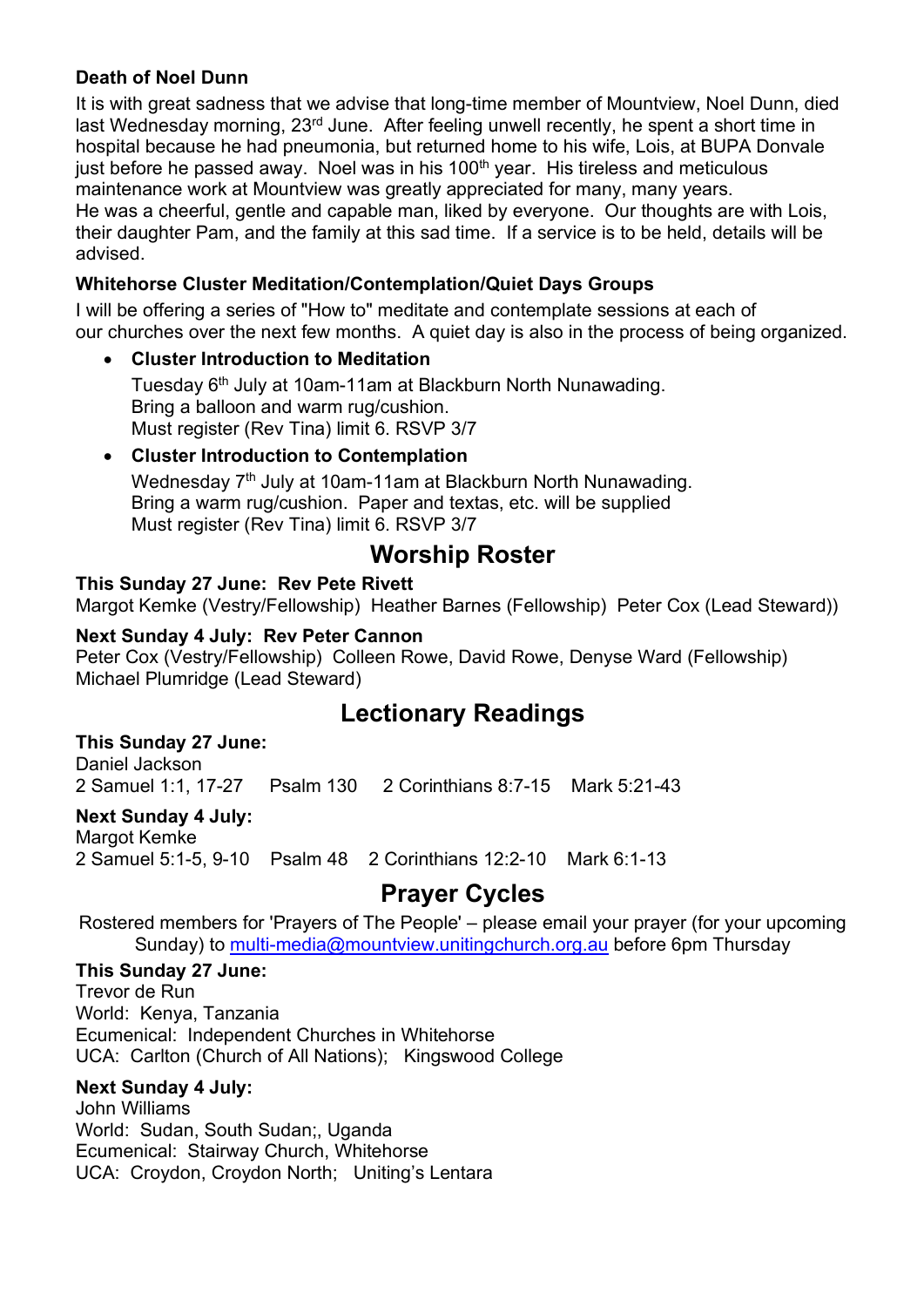#### **Death of Noel Dunn**

It is with great sadness that we advise that long-time member of Mountview, Noel Dunn, died last Wednesday morning, 23<sup>rd</sup> June. After feeling unwell recently, he spent a short time in hospital because he had pneumonia, but returned home to his wife, Lois, at BUPA Donvale just before he passed away. Noel was in his 100<sup>th</sup> year. His tireless and meticulous maintenance work at Mountview was greatly appreciated for many, many years. He was a cheerful, gentle and capable man, liked by everyone. Our thoughts are with Lois, their daughter Pam, and the family at this sad time. If a service is to be held, details will be advised.

### **Whitehorse Cluster Meditation/Contemplation/Quiet Days Groups**

I will be offering a series of "How to" meditate and contemplate sessions at each of our churches over the next few months. A quiet day is also in the process of being organized.

• **Cluster Introduction to Meditation** 

Tuesday 6<sup>th</sup> July at 10am-11am at Blackburn North Nunawading. Bring a balloon and warm rug/cushion. Must register (Rev Tina) limit 6. RSVP 3/7

#### • **Cluster Introduction to Contemplation** Wednesday 7<sup>th</sup> July at 10am-11am at Blackburn North Nunawading. Bring a warm rug/cushion. Paper and textas, etc. will be supplied Must register (Rev Tina) limit 6. RSVP 3/7

## **Worship Roster**

#### **This Sunday 27 June: Rev Pete Rivett**

Margot Kemke (Vestry/Fellowship) Heather Barnes (Fellowship) Peter Cox (Lead Steward))

#### **Next Sunday 4 July: Rev Peter Cannon**

Peter Cox (Vestry/Fellowship) Colleen Rowe, David Rowe, Denyse Ward (Fellowship) Michael Plumridge (Lead Steward)

## **Lectionary Readings**

#### **This Sunday 27 June:**

Daniel Jackson 2 Samuel 1:1, 17-27 Psalm 130 2 Corinthians 8:7-15 Mark 5:21-43

### **Next Sunday 4 July:**

Margot Kemke 2 Samuel 5:1-5, 9-10 Psalm 48 2 Corinthians 12:2-10 Mark 6:1-13

## **Prayer Cycles**

Rostered members for 'Prayers of The People' – please email your prayer (for your upcoming Sunday) to multi-media@mountyiew.unitingchurch.org.au before 6pm Thursday

#### **This Sunday 27 June:**

Trevor de Run World: Kenya, Tanzania Ecumenical: Independent Churches in Whitehorse UCA: Carlton (Church of All Nations); Kingswood College

#### **Next Sunday 4 July:**

John Williams World: Sudan, South Sudan;, Uganda Ecumenical: Stairway Church, Whitehorse UCA: Croydon, Croydon North; Uniting's Lentara